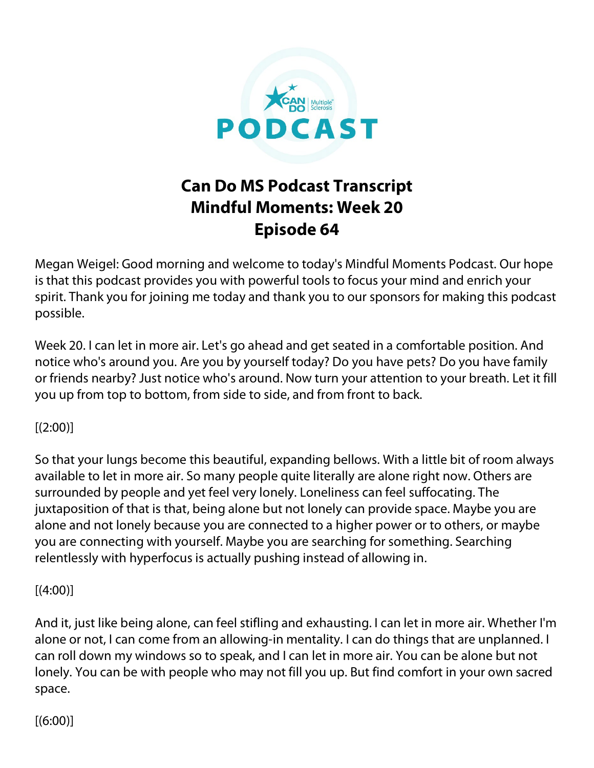

## **Can Do MS Podcast Transcript Mindful Moments: Week 20 Episode 64**

Megan Weigel: Good morning and welcome to today's Mindful Moments Podcast. Our hope is that this podcast provides you with powerful tools to focus your mind and enrich your spirit. Thank you for joining me today and thank you to our sponsors for making this podcast possible.

Week 20. I can let in more air. Let's go ahead and get seated in a comfortable position. And notice who's around you. Are you by yourself today? Do you have pets? Do you have family or friends nearby? Just notice who's around. Now turn your attention to your breath. Let it fill you up from top to bottom, from side to side, and from front to back.

## $[(2:00)]$

So that your lungs become this beautiful, expanding bellows. With a little bit of room always available to let in more air. So many people quite literally are alone right now. Others are surrounded by people and yet feel very lonely. Loneliness can feel suffocating. The juxtaposition of that is that, being alone but not lonely can provide space. Maybe you are alone and not lonely because you are connected to a higher power or to others, or maybe you are connecting with yourself. Maybe you are searching for something. Searching relentlessly with hyperfocus is actually pushing instead of allowing in.

## $[(4:00)]$

And it, just like being alone, can feel stifling and exhausting. I can let in more air. Whether I'm alone or not, I can come from an allowing-in mentality. I can do things that are unplanned. I can roll down my windows so to speak, and I can let in more air. You can be alone but not lonely. You can be with people who may not fill you up. But find comfort in your own sacred space.

 $[(6:00)]$